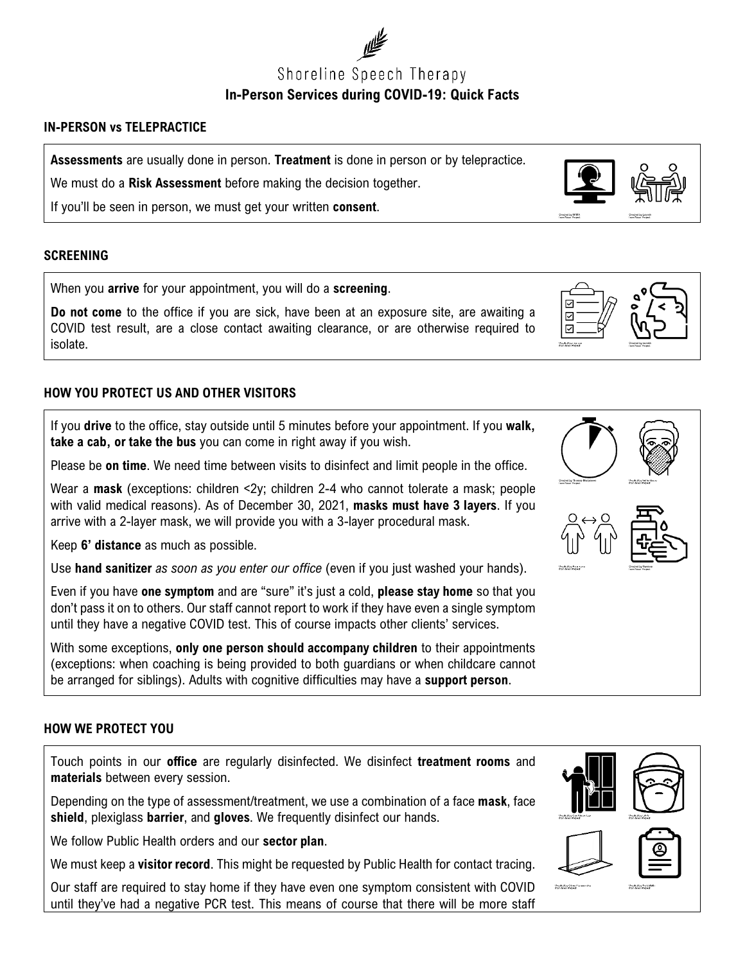

#### **IN-PERSON vs TELEPRACTICE**

**Assessments** are usually done in person. **Treatment** is done in person or by telepractice.

We must do a **Risk Assessment** before making the decision together.

If you'll be seen in person, we must get your written **consent**.

#### **SCREENING**

When you **arrive** for your appointment, you will do a **screening**.

**Do not come** to the office if you are sick, have been at an exposure site, are awaiting a COVID test result, are a close contact awaiting clearance, or are otherwise required to isolate.

## **HOW YOU PROTECT US AND OTHER VISITORS**

If you **drive** to the office, stay outside until 5 minutes before your appointment. If you **walk, take a cab, or take the bus** you can come in right away if you wish.

Please be **on time**. We need time between visits to disinfect and limit people in the office.

Wear a **mask** (exceptions: children <2y; children 2-4 who cannot tolerate a mask; people with valid medical reasons). As of December 30, 2021, **masks must have 3 layers**. If you arrive with a 2-layer mask, we will provide you with a 3-layer procedural mask.

Keep **6' distance** as much as possible.

Use **hand sanitizer** *as soon as you enter our office* (even if you just washed your hands).

Even if you have **one symptom** and are "sure" it's just a cold, **please stay home** so that you don't pass it on to others. Our staff cannot report to work if they have even a single symptom until they have a negative COVID test. This of course impacts other clients' services.

With some exceptions, **only one person should accompany children** to their appointments (exceptions: when coaching is being provided to both guardians or when childcare cannot be arranged for siblings). Adults with cognitive difficulties may have a **support person**.

### **HOW WE PROTECT YOU**

Touch points in our **office** are regularly disinfected. We disinfect **treatment rooms** and **materials** between every session.

Depending on the type of assessment/treatment, we use a combination of a face **mask**, face **shield**, plexiglass **barrier**, and **gloves**. We frequently disinfect our hands.

We follow Public Health orders and our **sector plan**.

We must keep a **visitor record**. This might be requested by Public Health for contact tracing.

Our staff are required to stay home if they have even one symptom consistent with COVID until they've had a negative PCR test. This means of course that there will be more staff









⊽ ⊽